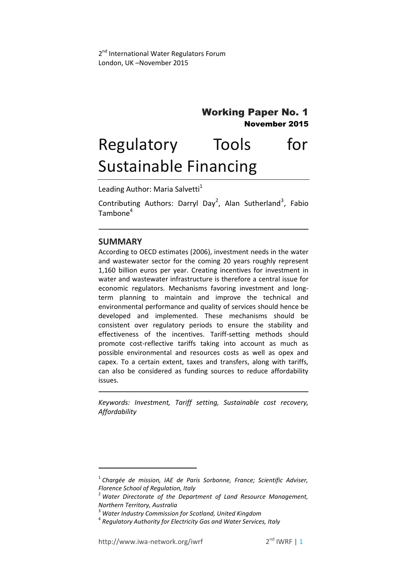# Working Paper No. 1 November 2015

# Regulatory Tools for Sustainable Financing

Leading Author: Maria Salvetti<sup>1</sup>

Contributing Authors: Darryl Day<sup>2</sup>, Alan Sutherland<sup>3</sup>, Fabio Tambone<sup>4</sup>

# **SUMMARY**

**.** 

According to OECD estimates (2006), investment needs in the water and wastewater sector for the coming 20 years roughly represent 1,160 billion euros per year. Creating incentives for investment in water and wastewater infrastructure is therefore a central issue for economic regulators. Mechanisms favoring investment and longterm planning to maintain and improve the technical and environmental performance and quality of services should hence be developed and implemented. These mechanisms should be consistent over regulatory periods to ensure the stability and effectiveness of the incentives. Tariff-setting methods should promote cost-reflective tariffs taking into account as much as possible environmental and resources costs as well as opex and capex. To a certain extent, taxes and transfers, along with tariffs, can also be considered as funding sources to reduce affordability issues.

*Keywords: Investment, Tariff setting, Sustainable cost recovery, Affordability*

<sup>&</sup>lt;sup>1</sup> Chargée de mission, IAE de Paris Sorbonne, France; Scientific Adviser, *Florence School of Regulation, Italy*

<sup>2</sup> *Water Directorate of the Department of Land Resource Management, Northern Territory, Australia*

<sup>3</sup> *Water Industry Commission for Scotland, United Kingdom*

<sup>4</sup> *Regulatory Authority for Electricity Gas and Water Services, Italy*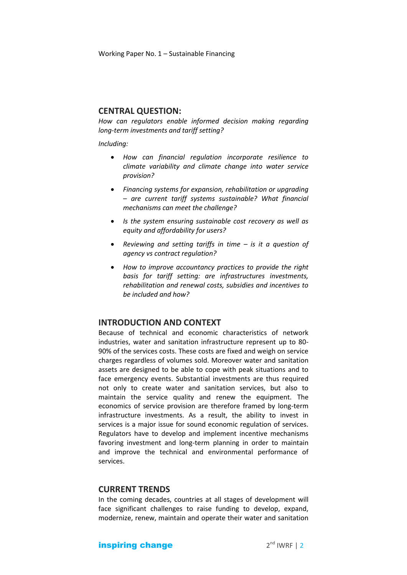Working Paper No. 1 – Sustainable Financing

## **CENTRAL QUESTION:**

*How can regulators enable informed decision making regarding long-term investments and tariff setting?* 

#### *Including:*

- *How can financial regulation incorporate resilience to climate variability and climate change into water service provision?*
- *Financing systems for expansion, rehabilitation or upgrading – are current tariff systems sustainable? What financial mechanisms can meet the challenge?*
- *Is the system ensuring sustainable cost recovery as well as equity and affordability for users?*
- *Reviewing and setting tariffs in time – is it a question of agency vs contract regulation?*
- *How to improve accountancy practices to provide the right basis for tariff setting: are infrastructures investments, rehabilitation and renewal costs, subsidies and incentives to be included and how?*

# **INTRODUCTION AND CONTEXT**

Because of technical and economic characteristics of network industries, water and sanitation infrastructure represent up to 80- 90% of the services costs. These costs are fixed and weigh on service charges regardless of volumes sold. Moreover water and sanitation assets are designed to be able to cope with peak situations and to face emergency events. Substantial investments are thus required not only to create water and sanitation services, but also to maintain the service quality and renew the equipment. The economics of service provision are therefore framed by long-term infrastructure investments. As a result, the ability to invest in services is a major issue for sound economic regulation of services. Regulators have to develop and implement incentive mechanisms favoring investment and long-term planning in order to maintain and improve the technical and environmental performance of services.

## **CURRENT TRENDS**

In the coming decades, countries at all stages of development will face significant challenges to raise funding to develop, expand, modernize, renew, maintain and operate their water and sanitation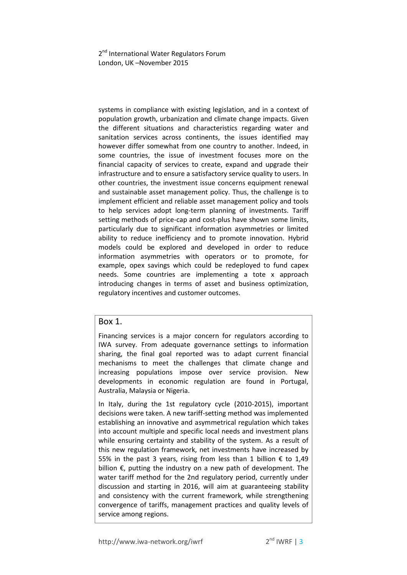systems in compliance with existing legislation, and in a context of population growth, urbanization and climate change impacts. Given the different situations and characteristics regarding water and sanitation services across continents, the issues identified may however differ somewhat from one country to another. Indeed, in some countries, the issue of investment focuses more on the financial capacity of services to create, expand and upgrade their infrastructure and to ensure a satisfactory service quality to users. In other countries, the investment issue concerns equipment renewal and sustainable asset management policy. Thus, the challenge is to implement efficient and reliable asset management policy and tools to help services adopt long-term planning of investments. Tariff setting methods of price-cap and cost-plus have shown some limits, particularly due to significant information asymmetries or limited ability to reduce inefficiency and to promote innovation. Hybrid models could be explored and developed in order to reduce information asymmetries with operators or to promote, for example, opex savings which could be redeployed to fund capex needs. Some countries are implementing a tote x approach introducing changes in terms of asset and business optimization, regulatory incentives and customer outcomes.

# Box 1.

Financing services is a major concern for regulators according to IWA survey. From adequate governance settings to information sharing, the final goal reported was to adapt current financial mechanisms to meet the challenges that climate change and increasing populations impose over service provision. New developments in economic regulation are found in Portugal, Australia, Malaysia or Nigeria.

In Italy, during the 1st regulatory cycle (2010-2015), important decisions were taken. A new tariff-setting method was implemented establishing an innovative and asymmetrical regulation which takes into account multiple and specific local needs and investment plans while ensuring certainty and stability of the system. As a result of this new regulation framework, net investments have increased by 55% in the past 3 years, rising from less than 1 billion  $\epsilon$  to 1,49 billion €, putting the industry on a new path of development. The water tariff method for the 2nd regulatory period, currently under discussion and starting in 2016, will aim at guaranteeing stability and consistency with the current framework, while strengthening convergence of tariffs, management practices and quality levels of service among regions.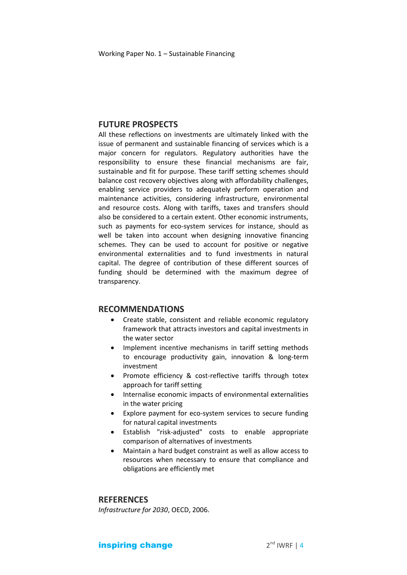## **FUTURE PROSPECTS**

All these reflections on investments are ultimately linked with the issue of permanent and sustainable financing of services which is a major concern for regulators. Regulatory authorities have the responsibility to ensure these financial mechanisms are fair, sustainable and fit for purpose. These tariff setting schemes should balance cost recovery objectives along with affordability challenges, enabling service providers to adequately perform operation and maintenance activities, considering infrastructure, environmental and resource costs. Along with tariffs, taxes and transfers should also be considered to a certain extent. Other economic instruments, such as payments for eco-system services for instance, should as well be taken into account when designing innovative financing schemes. They can be used to account for positive or negative environmental externalities and to fund investments in natural capital. The degree of contribution of these different sources of funding should be determined with the maximum degree of transparency.

#### **RECOMMENDATIONS**

- Create stable, consistent and reliable economic regulatory framework that attracts investors and capital investments in the water sector
- Implement incentive mechanisms in tariff setting methods to encourage productivity gain, innovation & long-term investment
- Promote efficiency & cost-reflective tariffs through totex approach for tariff setting
- Internalise economic impacts of environmental externalities in the water pricing
- Explore payment for eco-system services to secure funding for natural capital investments
- Establish "risk-adjusted" costs to enable appropriate comparison of alternatives of investments
- Maintain a hard budget constraint as well as allow access to resources when necessary to ensure that compliance and obligations are efficiently met

#### **REFERENCES**

*Infrastructure for 2030*, OECD, 2006.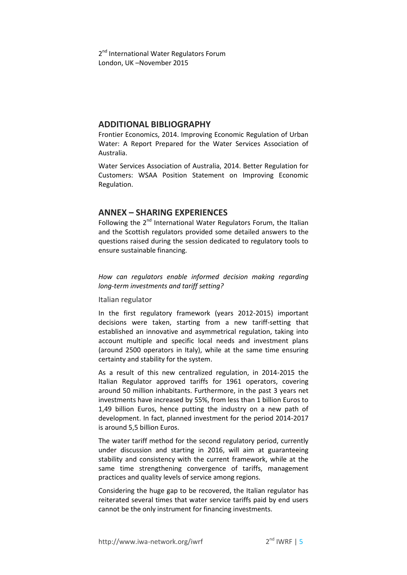## **ADDITIONAL BIBLIOGRAPHY**

Frontier Economics, 2014. Improving Economic Regulation of Urban Water: A Report Prepared for the Water Services Association of Australia.

Water Services Association of Australia, 2014. Better Regulation for Customers: WSAA Position Statement on Improving Economic Regulation.

# **ANNEX – SHARING EXPERIENCES**

Following the 2<sup>nd</sup> International Water Regulators Forum, the Italian and the Scottish regulators provided some detailed answers to the questions raised during the session dedicated to regulatory tools to ensure sustainable financing.

*How can regulators enable informed decision making regarding long-term investments and tariff setting?*

Italian regulator

In the first regulatory framework (years 2012-2015) important decisions were taken, starting from a new tariff-setting that established an innovative and asymmetrical regulation, taking into account multiple and specific local needs and investment plans (around 2500 operators in Italy), while at the same time ensuring certainty and stability for the system.

As a result of this new centralized regulation, in 2014-2015 the Italian Regulator approved tariffs for 1961 operators, covering around 50 million inhabitants. Furthermore, in the past 3 years net investments have increased by 55%, from less than 1 billion Euros to 1,49 billion Euros, hence putting the industry on a new path of development. In fact, planned investment for the period 2014-2017 is around 5,5 billion Euros.

The water tariff method for the second regulatory period, currently under discussion and starting in 2016, will aim at guaranteeing stability and consistency with the current framework, while at the same time strengthening convergence of tariffs, management practices and quality levels of service among regions.

Considering the huge gap to be recovered, the Italian regulator has reiterated several times that water service tariffs paid by end users cannot be the only instrument for financing investments.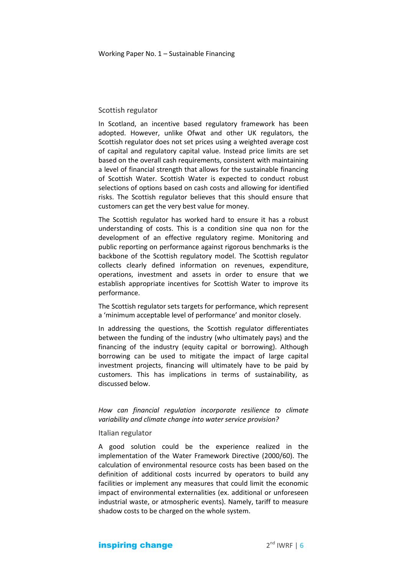## Scottish regulator

In Scotland, an incentive based regulatory framework has been adopted. However, unlike Ofwat and other UK regulators, the Scottish regulator does not set prices using a weighted average cost of capital and regulatory capital value. Instead price limits are set based on the overall cash requirements, consistent with maintaining a level of financial strength that allows for the sustainable financing of Scottish Water. Scottish Water is expected to conduct robust selections of options based on cash costs and allowing for identified risks. The Scottish regulator believes that this should ensure that customers can get the very best value for money.

The Scottish regulator has worked hard to ensure it has a robust understanding of costs. This is a condition sine qua non for the development of an effective regulatory regime. Monitoring and public reporting on performance against rigorous benchmarks is the backbone of the Scottish regulatory model. The Scottish regulator collects clearly defined information on revenues, expenditure, operations, investment and assets in order to ensure that we establish appropriate incentives for Scottish Water to improve its performance.

The Scottish regulator sets targets for performance, which represent a 'minimum acceptable level of performance' and monitor closely.

In addressing the questions, the Scottish regulator differentiates between the funding of the industry (who ultimately pays) and the financing of the industry (equity capital or borrowing). Although borrowing can be used to mitigate the impact of large capital investment projects, financing will ultimately have to be paid by customers. This has implications in terms of sustainability, as discussed below.

*How can financial regulation incorporate resilience to climate variability and climate change into water service provision?*

#### Italian regulator

A good solution could be the experience realized in the implementation of the Water Framework Directive (2000/60). The calculation of environmental resource costs has been based on the definition of additional costs incurred by operators to build any facilities or implement any measures that could limit the economic impact of environmental externalities (ex. additional or unforeseen industrial waste, or atmospheric events). Namely, tariff to measure shadow costs to be charged on the whole system.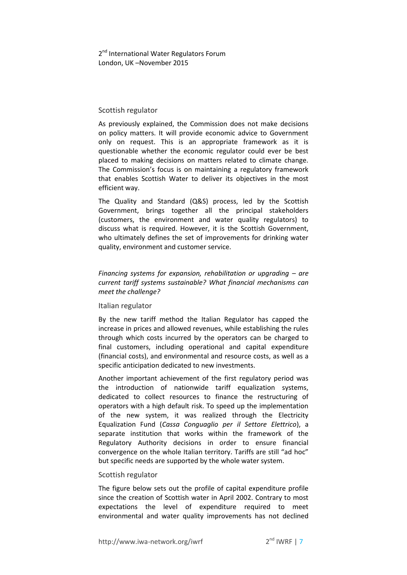#### Scottish regulator

As previously explained, the Commission does not make decisions on policy matters. It will provide economic advice to Government only on request. This is an appropriate framework as it is questionable whether the economic regulator could ever be best placed to making decisions on matters related to climate change. The Commission's focus is on maintaining a regulatory framework that enables Scottish Water to deliver its objectives in the most efficient way.

The Quality and Standard (Q&S) process, led by the Scottish Government, brings together all the principal stakeholders (customers, the environment and water quality regulators) to discuss what is required. However, it is the Scottish Government, who ultimately defines the set of improvements for drinking water quality, environment and customer service.

*Financing systems for expansion, rehabilitation or upgrading – are current tariff systems sustainable? What financial mechanisms can meet the challenge?*

#### Italian regulator

By the new tariff method the Italian Regulator has capped the increase in prices and allowed revenues, while establishing the rules through which costs incurred by the operators can be charged to final customers, including operational and capital expenditure (financial costs), and environmental and resource costs, as well as a specific anticipation dedicated to new investments.

Another important achievement of the first regulatory period was the introduction of nationwide tariff equalization systems, dedicated to collect resources to finance the restructuring of operators with a high default risk. To speed up the implementation of the new system, it was realized through the Electricity Equalization Fund (*Cassa Conguaglio per il Settore Elettrico*), a separate institution that works within the framework of the Regulatory Authority decisions in order to ensure financial convergence on the whole Italian territory. Tariffs are still "ad hoc" but specific needs are supported by the whole water system.

#### Scottish regulator

The figure below sets out the profile of capital expenditure profile since the creation of Scottish water in April 2002. Contrary to most expectations the level of expenditure required to meet environmental and water quality improvements has not declined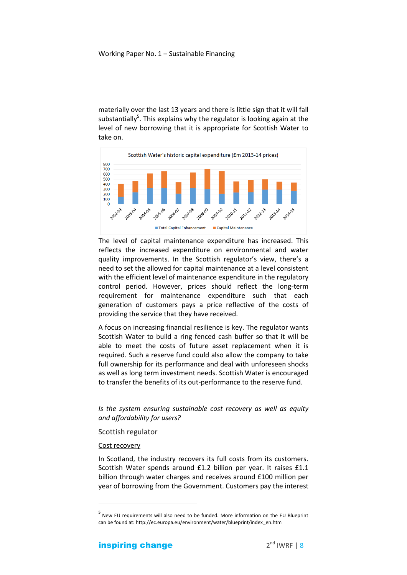materially over the last 13 years and there is little sign that it will fall substantially<sup>5</sup>. This explains why the regulator is looking again at the level of new borrowing that it is appropriate for Scottish Water to take on.



The level of capital maintenance expenditure has increased. This reflects the increased expenditure on environmental and water quality improvements. In the Scottish regulator's view, there's a need to set the allowed for capital maintenance at a level consistent with the efficient level of maintenance expenditure in the regulatory control period. However, prices should reflect the long-term requirement for maintenance expenditure such that each generation of customers pays a price reflective of the costs of providing the service that they have received.

A focus on increasing financial resilience is key. The regulator wants Scottish Water to build a ring fenced cash buffer so that it will be able to meet the costs of future asset replacement when it is required. Such a reserve fund could also allow the company to take full ownership for its performance and deal with unforeseen shocks as well as long term investment needs. Scottish Water is encouraged to transfer the benefits of its out-performance to the reserve fund.

*Is the system ensuring sustainable cost recovery as well as equity and affordability for users?*

#### Scottish regulator

#### Cost recovery

**.** 

In Scotland, the industry recovers its full costs from its customers. Scottish Water spends around £1.2 billion per year. It raises £1.1 billion through water charges and receives around £100 million per year of borrowing from the Government. Customers pay the interest

<sup>5</sup> New EU requirements will also need to be funded. More information on the EU Blueprint can be found at: http://ec.europa.eu/environment/water/blueprint/index\_en.htm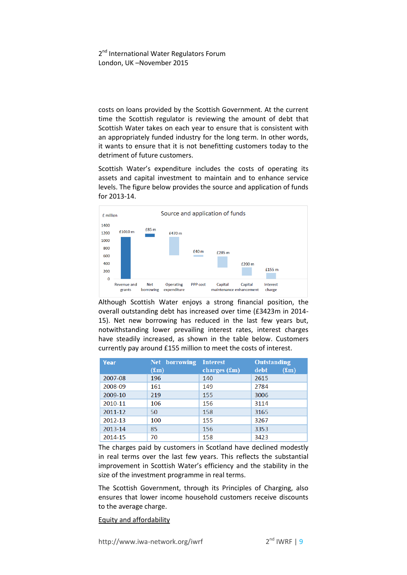costs on loans provided by the Scottish Government. At the current time the Scottish regulator is reviewing the amount of debt that Scottish Water takes on each year to ensure that is consistent with an appropriately funded industry for the long term. In other words, it wants to ensure that it is not benefitting customers today to the detriment of future customers.

Scottish Water's expenditure includes the costs of operating its assets and capital investment to maintain and to enhance service levels. The figure below provides the source and application of funds for 2013-14.



Although Scottish Water enjoys a strong financial position, the overall outstanding debt has increased over time (£3423m in 2014- 15). Net new borrowing has reduced in the last few years but, notwithstanding lower prevailing interest rates, interest charges have steadily increased, as shown in the table below. Customers currently pay around £155 million to meet the costs of interest.

| <b>Year</b> | Net borrowing | <b>Interest</b> | <b>Outstanding</b>         |
|-------------|---------------|-----------------|----------------------------|
|             | $(f_m)$       | charges $(f_m)$ | debt<br>(f <sub>Im</sub> ) |
| 2007-08     | 196           | 140             | 2615                       |
| 2008-09     | 161           | 149             | 2784                       |
| 2009-10     | 219           | 155             | 3006                       |
| 2010-11     | 106           | 156             | 3114                       |
| 2011-12     | 50            | 158             | 3165                       |
| 2012-13     | 100           | 155             | 3267                       |
| 2013-14     | 85            | 156             | 3353                       |
| 2014-15     | 70            | 158             | 3423                       |

The charges paid by customers in Scotland have declined modestly in real terms over the last few years. This reflects the substantial improvement in Scottish Water's efficiency and the stability in the size of the investment programme in real terms.

The Scottish Government, through its Principles of Charging, also ensures that lower income household customers receive discounts to the average charge.

Equity and affordability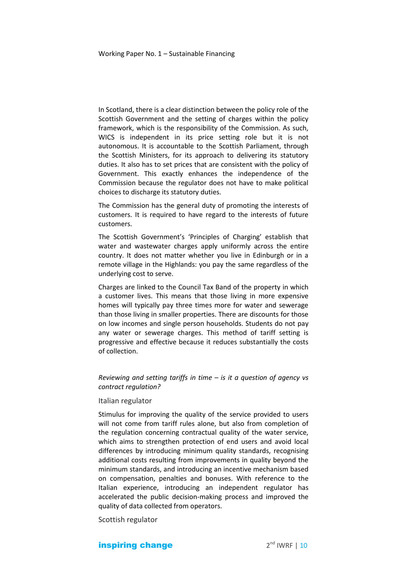In Scotland, there is a clear distinction between the policy role of the Scottish Government and the setting of charges within the policy framework, which is the responsibility of the Commission. As such, WICS is independent in its price setting role but it is not autonomous. It is accountable to the Scottish Parliament, through the Scottish Ministers, for its approach to delivering its statutory duties. It also has to set prices that are consistent with the policy of Government. This exactly enhances the independence of the Commission because the regulator does not have to make political choices to discharge its statutory duties.

The Commission has the general duty of promoting the interests of customers. It is required to have regard to the interests of future customers.

The Scottish Government's 'Principles of Charging' establish that water and wastewater charges apply uniformly across the entire country. It does not matter whether you live in Edinburgh or in a remote village in the Highlands: you pay the same regardless of the underlying cost to serve.

Charges are linked to the Council Tax Band of the property in which a customer lives. This means that those living in more expensive homes will typically pay three times more for water and sewerage than those living in smaller properties. There are discounts for those on low incomes and single person households. Students do not pay any water or sewerage charges. This method of tariff setting is progressive and effective because it reduces substantially the costs of collection.

*Reviewing and setting tariffs in time – is it a question of agency vs contract regulation?*

#### Italian regulator

Stimulus for improving the quality of the service provided to users will not come from tariff rules alone, but also from completion of the regulation concerning contractual quality of the water service, which aims to strengthen protection of end users and avoid local differences by introducing minimum quality standards, recognising additional costs resulting from improvements in quality beyond the minimum standards, and introducing an incentive mechanism based on compensation, penalties and bonuses. With reference to the Italian experience, introducing an independent regulator has accelerated the public decision-making process and improved the quality of data collected from operators.

Scottish regulator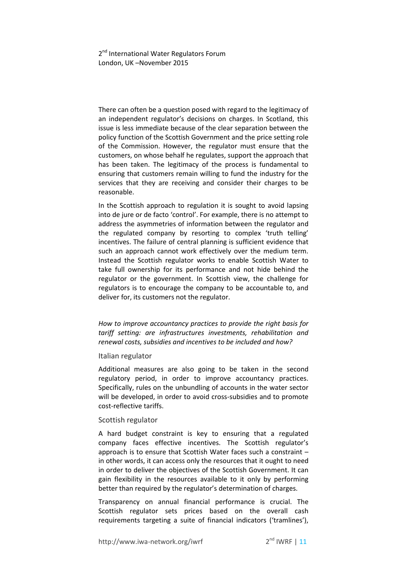There can often be a question posed with regard to the legitimacy of an independent regulator's decisions on charges. In Scotland, this issue is less immediate because of the clear separation between the policy function of the Scottish Government and the price setting role of the Commission. However, the regulator must ensure that the customers, on whose behalf he regulates, support the approach that has been taken. The legitimacy of the process is fundamental to ensuring that customers remain willing to fund the industry for the services that they are receiving and consider their charges to be reasonable.

In the Scottish approach to regulation it is sought to avoid lapsing into de jure or de facto 'control'. For example, there is no attempt to address the asymmetries of information between the regulator and the regulated company by resorting to complex 'truth telling' incentives. The failure of central planning is sufficient evidence that such an approach cannot work effectively over the medium term. Instead the Scottish regulator works to enable Scottish Water to take full ownership for its performance and not hide behind the regulator or the government. In Scottish view, the challenge for regulators is to encourage the company to be accountable to, and deliver for, its customers not the regulator.

*How to improve accountancy practices to provide the right basis for tariff setting: are infrastructures investments, rehabilitation and renewal costs, subsidies and incentives to be included and how?*

#### Italian regulator

Additional measures are also going to be taken in the second regulatory period, in order to improve accountancy practices. Specifically, rules on the unbundling of accounts in the water sector will be developed, in order to avoid cross-subsidies and to promote cost-reflective tariffs.

#### Scottish regulator

A hard budget constraint is key to ensuring that a regulated company faces effective incentives. The Scottish regulator's approach is to ensure that Scottish Water faces such a constraint – in other words, it can access only the resources that it ought to need in order to deliver the objectives of the Scottish Government. It can gain flexibility in the resources available to it only by performing better than required by the regulator's determination of charges.

Transparency on annual financial performance is crucial. The Scottish regulator sets prices based on the overall cash requirements targeting a suite of financial indicators ('tramlines'),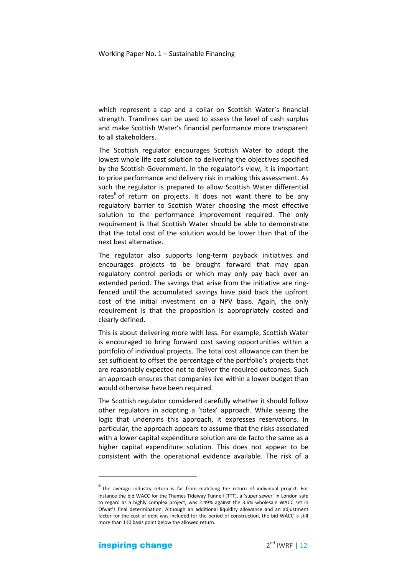which represent a cap and a collar on Scottish Water's financial strength. Tramlines can be used to assess the level of cash surplus and make Scottish Water's financial performance more transparent to all stakeholders.

The Scottish regulator encourages Scottish Water to adopt the lowest whole life cost solution to delivering the objectives specified by the Scottish Government. In the regulator's view, it is important to price performance and delivery risk in making this assessment. As such the regulator is prepared to allow Scottish Water differential rates<sup>6</sup> of return on projects. It does not want there to be any regulatory barrier to Scottish Water choosing the most effective solution to the performance improvement required. The only requirement is that Scottish Water should be able to demonstrate that the total cost of the solution would be lower than that of the next best alternative.

The regulator also supports long-term payback initiatives and encourages projects to be brought forward that may span regulatory control periods or which may only pay back over an extended period. The savings that arise from the initiative are ringfenced until the accumulated savings have paid back the upfront cost of the initial investment on a NPV basis. Again, the only requirement is that the proposition is appropriately costed and clearly defined.

This is about delivering more with less. For example, Scottish Water is encouraged to bring forward cost saving opportunities within a portfolio of individual projects. The total cost allowance can then be set sufficient to offset the percentage of the portfolio's projects that are reasonably expected not to deliver the required outcomes. Such an approach ensures that companies live within a lower budget than would otherwise have been required.

The Scottish regulator considered carefully whether it should follow other regulators in adopting a 'totex' approach. While seeing the logic that underpins this approach, it expresses reservations. In particular, the approach appears to assume that the risks associated with a lower capital expenditure solution are de facto the same as a higher capital expenditure solution. This does not appear to be consistent with the operational evidence available. The risk of a

 $\overline{a}$ 

<sup>&</sup>lt;sup>6</sup> The average industry return is far from matching the return of individual project. For instance the bid WACC for the Thames Tideway Tunnell (TTT), a 'super sewer' in London safe to regard as a highly complex project, was 2.49% against the 3.6% wholesale WACC set in Ofwat's final determination. Although an additional liquidity allowance and an adjustment factor for the cost of debt was included for the period of construction, the bid WACC is still more than 110 basis point below the allowed return.